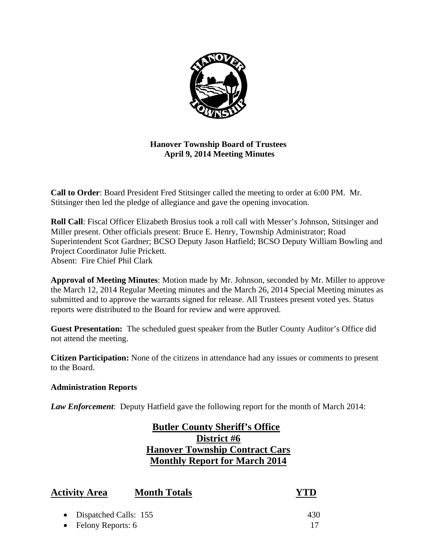

**Hanover Township Board of Trustees April 9, 2014 Meeting Minutes** 

**Call to Order**: Board President Fred Stitsinger called the meeting to order at 6:00 PM. Mr. Stitsinger then led the pledge of allegiance and gave the opening invocation.

**Roll Call**: Fiscal Officer Elizabeth Brosius took a roll call with Messer's Johnson, Stitsinger and Miller present. Other officials present: Bruce E. Henry, Township Administrator; Road Superintendent Scot Gardner; BCSO Deputy Jason Hatfield; BCSO Deputy William Bowling and Project Coordinator Julie Prickett. Absent: Fire Chief Phil Clark

**Approval of Meeting Minutes**: Motion made by Mr. Johnson, seconded by Mr. Miller to approve the March 12, 2014 Regular Meeting minutes and the March 26, 2014 Special Meeting minutes as submitted and to approve the warrants signed for release. All Trustees present voted yes. Status reports were distributed to the Board for review and were approved.

**Guest Presentation:** The scheduled guest speaker from the Butler County Auditor's Office did not attend the meeting.

**Citizen Participation:** None of the citizens in attendance had any issues or comments to present to the Board.

# **Administration Reports**

*Law Enforcement*: Deputy Hatfield gave the following report for the month of March 2014:

# **Butler County Sheriff's Office District #6 Hanover Township Contract Cars Monthly Report for March 2014**

| <b>Activity Area</b>    | <b>Month Totals</b> | <b>YTD</b> |
|-------------------------|---------------------|------------|
| • Dispatched Calls: 155 |                     | 430        |
| • Felony Reports: $6$   |                     |            |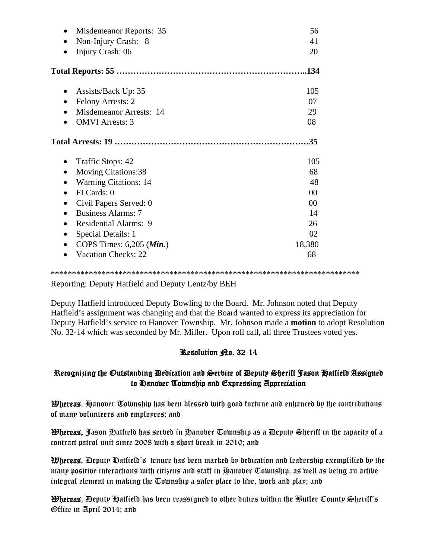| Misdemeanor Reports: 35             | 56             |
|-------------------------------------|----------------|
| Non-Injury Crash: 8                 | 41             |
| Injury Crash: 06                    | 20             |
|                                     |                |
| Assists/Back Up: 35<br>٠            | 105            |
| <b>Felony Arrests: 2</b>            | 07             |
| Misdemeanor Arrests: 14             | 29             |
| <b>OMVI</b> Arrests: 3              | 08             |
|                                     | .35            |
| Traffic Stops: 42<br>٠              | 105            |
| <b>Moving Citations:38</b>          | 68             |
| <b>Warning Citations: 14</b>        | 48             |
| FI Cards: 0                         | 0 <sup>0</sup> |
| Civil Papers Served: 0              | 0 <sup>0</sup> |
| <b>Business Alarms: 7</b>           | 14             |
| <b>Residential Alarms: 9</b>        | 26             |
| Special Details: 1                  | 02             |
| COPS Times: $6,205$ ( <i>Min.</i> ) | 18,380         |
| <b>Vacation Checks: 22</b>          | 68             |

\*\*\*\*\*\*\*\*\*\*\*\*\*\*\*\*\*\*\*\*\*\*\*\*\*\*\*\*\*\*\*\*\*\*\*\*\*\*\*\*\*\*\*\*\*\*\*\*\*\*\*\*\*\*\*\*\*\*\*\*\*\*\*\*\*\*\*\*\*\*\*\*\*

Reporting: Deputy Hatfield and Deputy Lentz/by BEH

Deputy Hatfield introduced Deputy Bowling to the Board. Mr. Johnson noted that Deputy Hatfield's assignment was changing and that the Board wanted to express its appreciation for Deputy Hatfield's service to Hanover Township. Mr. Johnson made a **motion** to adopt Resolution No. 32-14 which was seconded by Mr. Miller. Upon roll call, all three Trustees voted yes.

# Resolution Ro. 32-14

# Recognizing the Outstanding Dedication and Service of Deputy Sheriff Jason Hatfield Assigned to Hanover Township and Expressing Appreciation

**Whereas,** Hanover Township has been blessed with good fortune and enhanced by the contributions of many volunteers and employees; and

Whereas, Jason Hatfield has served in Hanover Township as a Deputy Sheriff in the capacity of a contract patrol unit since 2008 with a short break in 2010; and

Whereas, Deputy Hatfield's tenure has been marked by dedication and leadership exemplified by the many positive interactions with citizens and staff in Hanover Township, as well as being an active integral element in making the Township a safer place to live, work and play; and

Whereas, Deputy Hatfield has been reassigned to other duties within the Butler County Sheriff's Office in April 2014; and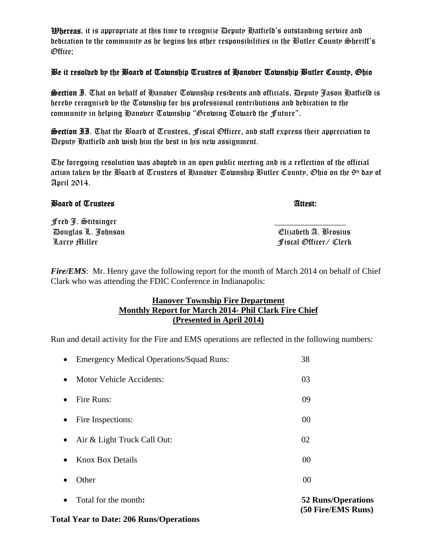Whereas, it is appropriate at this time to recognize Deputy Hatfield's outstanding service and dedication to the community as he begins his other responsibilities in the Butler County Sheriff's Office;

### Be it resolved by the Board of Township Trustees of Hanover Township Butler County, Ohio

Section I. That on behalf of Hanover Township residents and officials, Deputy Jason Hatfield is hereby recognized by the Township for his professional contributions and dedication to the community in helping Hanover Township "Growing Toward the Future".

Section II. That the Board of Trustees, Fiscal Officer, and staff express their appreciation to Deputy Hatfield and wish him the best in his new assignment.

The foregoing resolution was adopted in an open public meeting and is a reflection of the official action taken by the Board of Trustees of Hanober Township Butler County, Ohio on the 9th day of April 2014.

### Board of Trustees **Attest:** Attest: Attest: Attest: Attest: Attest: Attest: Attest: Attest: Attest: Attest: Attest: Attest: Attest: Attest: Attest: Attest: Attest: Attest: Attest: Attest: Attest: Attest: Attest: Attest: At

Fred J. Stitsinger \_\_\_\_\_\_\_\_\_\_\_\_\_\_\_\_\_ Douglas L. Johnson Elizabeth A. Brosius Larry Miller Fiscal Officer/ Clerk

*Fire/EMS*: Mr. Henry gave the following report for the month of March 2014 on behalf of Chief Clark who was attending the FDIC Conference in Indianapolis:

### **Hanover Township Fire Department Monthly Report for March 2014- Phil Clark Fire Chief (Presented in April 2014)**

Run and detail activity for the Fire and EMS operations are reflected in the following numbers:

| $\bullet$ | Total for the month:                       | <b>52 Runs/Operations</b><br>(50 Fire/EMS Runs) |
|-----------|--------------------------------------------|-------------------------------------------------|
|           | Other                                      | 00                                              |
| $\bullet$ | <b>Knox Box Details</b>                    | 00                                              |
| $\bullet$ | Air & Light Truck Call Out:                | 02                                              |
| $\bullet$ | Fire Inspections:                          | 00                                              |
| $\bullet$ | Fire Runs:                                 | 09                                              |
| $\bullet$ | <b>Motor Vehicle Accidents:</b>            | 03                                              |
|           | • Emergency Medical Operations/Squad Runs: | 38                                              |

**Total Year to Date: 206 Runs/Operations**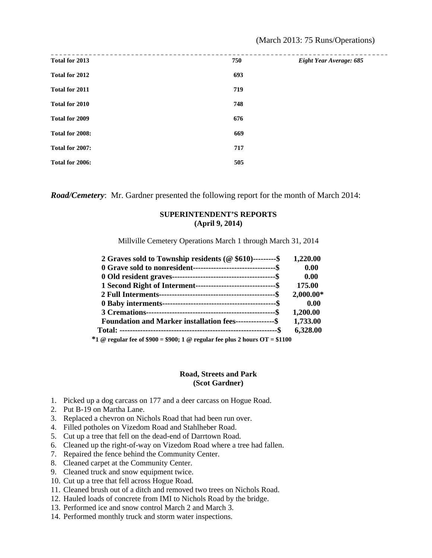| Total for 2013  | 750 | Eight Year Average: 685 |
|-----------------|-----|-------------------------|
| Total for 2012  | 693 |                         |
| Total for 2011  | 719 |                         |
| Total for 2010  | 748 |                         |
| Total for 2009  | 676 |                         |
| Total for 2008: | 669 |                         |
| Total for 2007: | 717 |                         |
| Total for 2006: | 505 |                         |
|                 |     |                         |

*Road/Cemetery*: Mr. Gardner presented the following report for the month of March 2014:

#### **SUPERINTENDENT'S REPORTS (April 9, 2014)**

Millville Cemetery Operations March 1 through March 31, 2014

| 2 Graves sold to Township residents ( $@$ \$610)---------\$                                                                                                                                                                    | 1,220.00    |
|--------------------------------------------------------------------------------------------------------------------------------------------------------------------------------------------------------------------------------|-------------|
| 0 Grave sold to nonresident-----------------------------------\$                                                                                                                                                               | 0.00        |
|                                                                                                                                                                                                                                | 0.00        |
| 1 Second Right of Interment----------------------------------\$                                                                                                                                                                | 175.00      |
|                                                                                                                                                                                                                                | $2,000.00*$ |
|                                                                                                                                                                                                                                | 0.00        |
|                                                                                                                                                                                                                                | 1,200.00    |
| <b>Foundation and Marker installation fees----------------\$</b>                                                                                                                                                               | 1,733.00    |
|                                                                                                                                                                                                                                | 6,328.00    |
| when the contract of the contract of the contract of the contract of the contract of the contract of the contract of the contract of the contract of the contract of the contract of the contract of the contract of the contr |             |

 **\*1 @ regular fee of \$900 = \$900; 1 @ regular fee plus 2 hours OT = \$1100** 

#### **Road, Streets and Park (Scot Gardner)**

- 1. Picked up a dog carcass on 177 and a deer carcass on Hogue Road.
- 2. Put B-19 on Martha Lane.
- 3. Replaced a chevron on Nichols Road that had been run over.
- 4. Filled potholes on Vizedom Road and Stahlheber Road.
- 5. Cut up a tree that fell on the dead-end of Darrtown Road.
- 6. Cleaned up the right-of-way on Vizedom Road where a tree had fallen.
- 7. Repaired the fence behind the Community Center.
- 8. Cleaned carpet at the Community Center.
- 9. Cleaned truck and snow equipment twice.
- 10. Cut up a tree that fell across Hogue Road.
- 11. Cleaned brush out of a ditch and removed two trees on Nichols Road.
- 12. Hauled loads of concrete from IMI to Nichols Road by the bridge.
- 13. Performed ice and snow control March 2 and March 3.
- 14. Performed monthly truck and storm water inspections.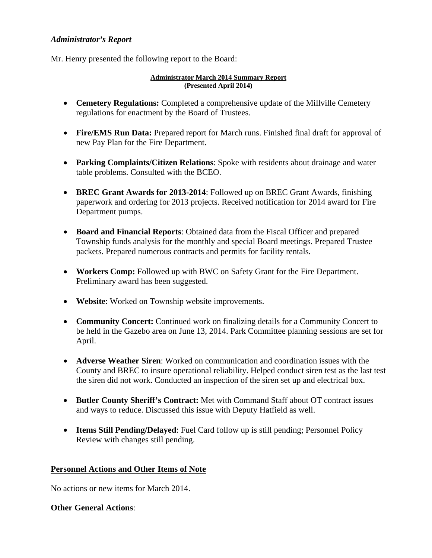### *Administrator's Report*

Mr. Henry presented the following report to the Board:

#### **Administrator March 2014 Summary Report (Presented April 2014)**

- **Cemetery Regulations:** Completed a comprehensive update of the Millville Cemetery regulations for enactment by the Board of Trustees.
- Fire/EMS Run Data: Prepared report for March runs. Finished final draft for approval of new Pay Plan for the Fire Department.
- **Parking Complaints/Citizen Relations**: Spoke with residents about drainage and water table problems. Consulted with the BCEO.
- **BREC Grant Awards for 2013-2014**: Followed up on BREC Grant Awards, finishing paperwork and ordering for 2013 projects. Received notification for 2014 award for Fire Department pumps.
- **Board and Financial Reports**: Obtained data from the Fiscal Officer and prepared Township funds analysis for the monthly and special Board meetings. Prepared Trustee packets. Prepared numerous contracts and permits for facility rentals.
- **Workers Comp:** Followed up with BWC on Safety Grant for the Fire Department. Preliminary award has been suggested.
- **Website**: Worked on Township website improvements.
- **Community Concert:** Continued work on finalizing details for a Community Concert to be held in the Gazebo area on June 13, 2014. Park Committee planning sessions are set for April.
- **Adverse Weather Siren**: Worked on communication and coordination issues with the County and BREC to insure operational reliability. Helped conduct siren test as the last test the siren did not work. Conducted an inspection of the siren set up and electrical box.
- **Butler County Sheriff's Contract:** Met with Command Staff about OT contract issues and ways to reduce. Discussed this issue with Deputy Hatfield as well.
- **Items Still Pending/Delayed**: Fuel Card follow up is still pending; Personnel Policy Review with changes still pending.

# **Personnel Actions and Other Items of Note**

No actions or new items for March 2014.

# **Other General Actions**: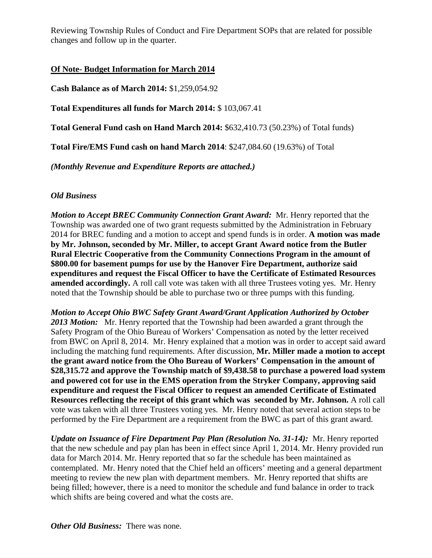Reviewing Township Rules of Conduct and Fire Department SOPs that are related for possible changes and follow up in the quarter.

# **Of Note- Budget Information for March 2014**

**Cash Balance as of March 2014:** \$1,259,054.92

**Total Expenditures all funds for March 2014:** \$ 103,067.41

**Total General Fund cash on Hand March 2014:** \$632,410.73 (50.23%) of Total funds)

**Total Fire/EMS Fund cash on hand March 2014**: \$247,084.60 (19.63%) of Total

*(Monthly Revenue and Expenditure Reports are attached.)* 

### *Old Business*

*Motion to Accept BREC Community Connection Grant Award:* Mr. Henry reported that the Township was awarded one of two grant requests submitted by the Administration in February 2014 for BREC funding and a motion to accept and spend funds is in order. **A motion was made by Mr. Johnson, seconded by Mr. Miller, to accept Grant Award notice from the Butler Rural Electric Cooperative from the Community Connections Program in the amount of \$800.00 for basement pumps for use by the Hanover Fire Department, authorize said expenditures and request the Fiscal Officer to have the Certificate of Estimated Resources amended accordingly.** A roll call vote was taken with all three Trustees voting yes. Mr. Henry noted that the Township should be able to purchase two or three pumps with this funding.

*Motion to Accept Ohio BWC Safety Grant Award/Grant Application Authorized by October 2013 Motion:* Mr. Henry reported that the Township had been awarded a grant through the Safety Program of the Ohio Bureau of Workers' Compensation as noted by the letter received from BWC on April 8, 2014. Mr. Henry explained that a motion was in order to accept said award including the matching fund requirements. After discussion, **Mr. Miller made a motion to accept the grant award notice from the Oho Bureau of Workers' Compensation in the amount of \$28,315.72 and approve the Township match of \$9,438.58 to purchase a powered load system and powered cot for use in the EMS operation from the Stryker Company, approving said expenditure and request the Fiscal Officer to request an amended Certificate of Estimated Resources reflecting the receipt of this grant which was seconded by Mr. Johnson.** A roll call vote was taken with all three Trustees voting yes. Mr. Henry noted that several action steps to be performed by the Fire Department are a requirement from the BWC as part of this grant award.

*Update on Issuance of Fire Department Pay Plan (Resolution No. 31-14):* Mr. Henry reported that the new schedule and pay plan has been in effect since April 1, 2014. Mr. Henry provided run data for March 2014. Mr. Henry reported that so far the schedule has been maintained as contemplated. Mr. Henry noted that the Chief held an officers' meeting and a general department meeting to review the new plan with department members. Mr. Henry reported that shifts are being filled; however, there is a need to monitor the schedule and fund balance in order to track which shifts are being covered and what the costs are.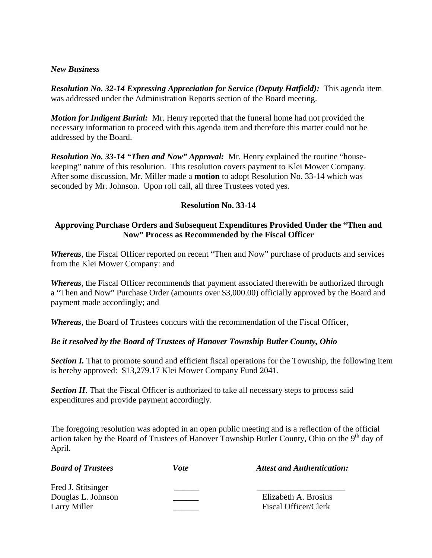### *New Business*

*Resolution No. 32-14 Expressing Appreciation for Service (Deputy Hatfield):* **This agenda item** was addressed under the Administration Reports section of the Board meeting.

*Motion for Indigent Burial:* Mr. Henry reported that the funeral home had not provided the necessary information to proceed with this agenda item and therefore this matter could not be addressed by the Board.

*Resolution No. 33-14 "Then and Now" Approval:* Mr. Henry explained the routine "housekeeping" nature of this resolution. This resolution covers payment to Klei Mower Company. After some discussion, Mr. Miller made a **motion** to adopt Resolution No. 33-14 which was seconded by Mr. Johnson. Upon roll call, all three Trustees voted yes.

# **Resolution No. 33-14**

### **Approving Purchase Orders and Subsequent Expenditures Provided Under the "Then and Now" Process as Recommended by the Fiscal Officer**

*Whereas*, the Fiscal Officer reported on recent "Then and Now" purchase of products and services from the Klei Mower Company: and

*Whereas*, the Fiscal Officer recommends that payment associated therewith be authorized through a "Then and Now" Purchase Order (amounts over \$3,000.00) officially approved by the Board and payment made accordingly; and

*Whereas*, the Board of Trustees concurs with the recommendation of the Fiscal Officer,

# *Be it resolved by the Board of Trustees of Hanover Township Butler County, Ohio*

**Section I.** That to promote sound and efficient fiscal operations for the Township, the following item is hereby approved: \$13,279.17 Klei Mower Company Fund 2041.

**Section II**. That the Fiscal Officer is authorized to take all necessary steps to process said expenditures and provide payment accordingly.

The foregoing resolution was adopted in an open public meeting and is a reflection of the official action taken by the Board of Trustees of Hanover Township Butler County, Ohio on the  $9<sup>th</sup>$  day of April.

| <b>Board of Trustees</b> | Vote | <b>Attest and Authentication:</b> |
|--------------------------|------|-----------------------------------|
| Fred J. Stitsinger       |      |                                   |
| Douglas L. Johnson       |      | Elizabeth A. Brosius              |
| Larry Miller             |      | Fiscal Officer/Clerk              |